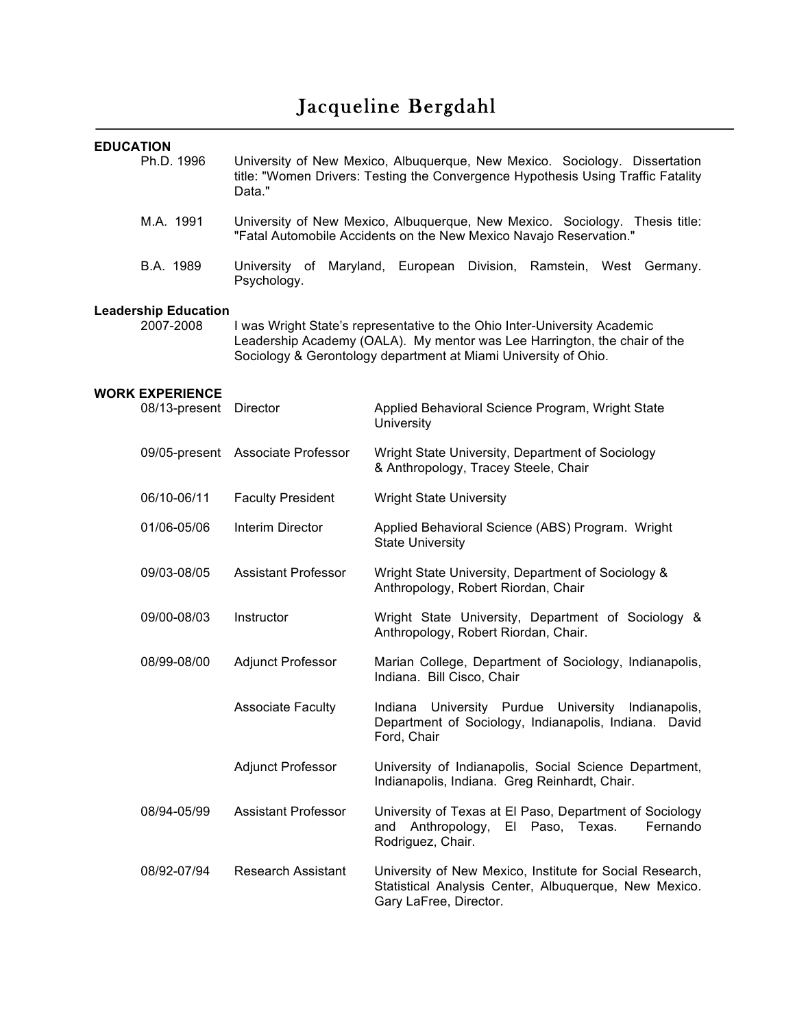# Jacqueline Bergdahl

| <b>EDUCATION</b>                         |                                                                                                                                                                                                                           |                                                                                                                                             |  |  |  |  |
|------------------------------------------|---------------------------------------------------------------------------------------------------------------------------------------------------------------------------------------------------------------------------|---------------------------------------------------------------------------------------------------------------------------------------------|--|--|--|--|
| Ph.D. 1996                               | University of New Mexico, Albuquerque, New Mexico. Sociology. Dissertation<br>title: "Women Drivers: Testing the Convergence Hypothesis Using Traffic Fatality<br>Data."                                                  |                                                                                                                                             |  |  |  |  |
| M.A. 1991                                | University of New Mexico, Albuquerque, New Mexico. Sociology. Thesis title:<br>"Fatal Automobile Accidents on the New Mexico Navajo Reservation."                                                                         |                                                                                                                                             |  |  |  |  |
| B.A. 1989                                | Psychology.                                                                                                                                                                                                               | University of Maryland, European Division, Ramstein, West Germany.                                                                          |  |  |  |  |
| <b>Leadership Education</b><br>2007-2008 | I was Wright State's representative to the Ohio Inter-University Academic<br>Leadership Academy (OALA). My mentor was Lee Harrington, the chair of the<br>Sociology & Gerontology department at Miami University of Ohio. |                                                                                                                                             |  |  |  |  |
| <b>WORK EXPERIENCE</b><br>08/13-present  | Director                                                                                                                                                                                                                  | Applied Behavioral Science Program, Wright State<br>University                                                                              |  |  |  |  |
|                                          | 09/05-present Associate Professor                                                                                                                                                                                         | Wright State University, Department of Sociology<br>& Anthropology, Tracey Steele, Chair                                                    |  |  |  |  |
| 06/10-06/11                              | <b>Faculty President</b>                                                                                                                                                                                                  | <b>Wright State University</b>                                                                                                              |  |  |  |  |
| 01/06-05/06                              | Interim Director                                                                                                                                                                                                          | Applied Behavioral Science (ABS) Program. Wright<br><b>State University</b>                                                                 |  |  |  |  |
| 09/03-08/05                              | <b>Assistant Professor</b>                                                                                                                                                                                                | Wright State University, Department of Sociology &<br>Anthropology, Robert Riordan, Chair                                                   |  |  |  |  |
| 09/00-08/03                              | Instructor                                                                                                                                                                                                                | Wright State University, Department of Sociology &<br>Anthropology, Robert Riordan, Chair.                                                  |  |  |  |  |
| 08/99-08/00                              | <b>Adjunct Professor</b>                                                                                                                                                                                                  | Marian College, Department of Sociology, Indianapolis,<br>Indiana. Bill Cisco, Chair                                                        |  |  |  |  |
|                                          | <b>Associate Faculty</b>                                                                                                                                                                                                  | Indiana<br>University<br>Purdue<br>University<br>Indianapolis,<br>Department of Sociology, Indianapolis, Indiana.<br>David<br>Ford, Chair   |  |  |  |  |
|                                          | <b>Adjunct Professor</b>                                                                                                                                                                                                  | University of Indianapolis, Social Science Department,<br>Indianapolis, Indiana. Greg Reinhardt, Chair.                                     |  |  |  |  |
| 08/94-05/99                              | <b>Assistant Professor</b>                                                                                                                                                                                                | University of Texas at El Paso, Department of Sociology<br>El Paso, Texas.<br>Fernando<br>Anthropology,<br>and<br>Rodriguez, Chair.         |  |  |  |  |
| 08/92-07/94                              | <b>Research Assistant</b>                                                                                                                                                                                                 | University of New Mexico, Institute for Social Research,<br>Statistical Analysis Center, Albuquerque, New Mexico.<br>Gary LaFree, Director. |  |  |  |  |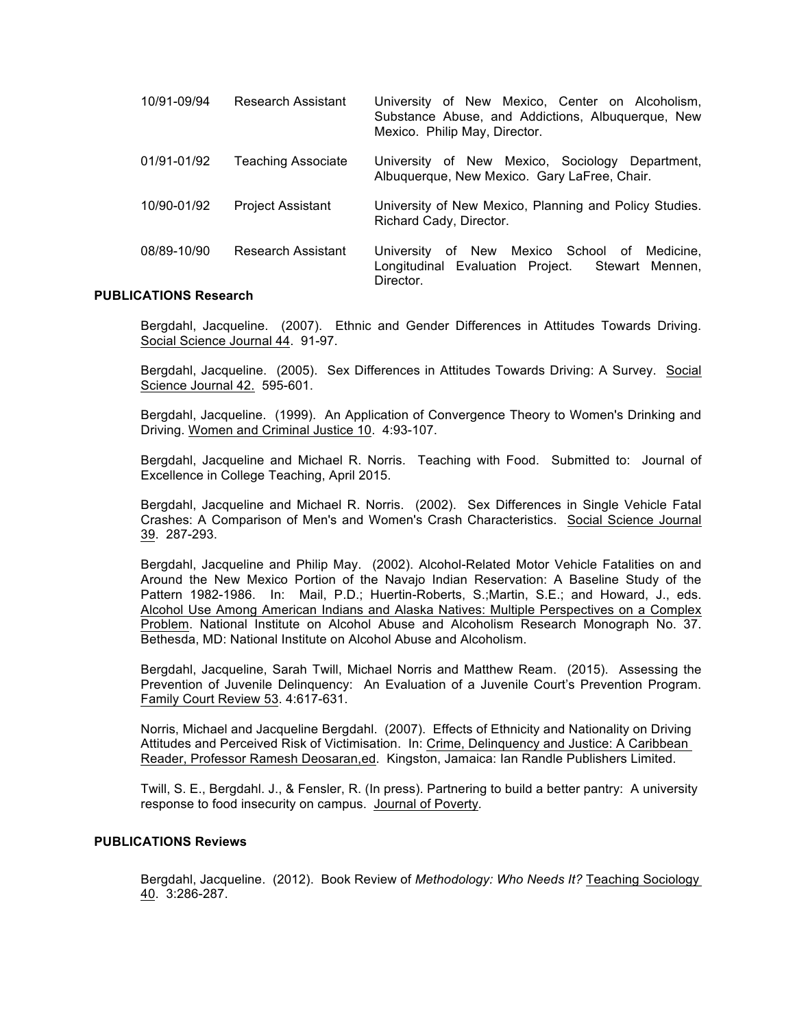| 10/91-09/94 | Research Assistant        | University of New Mexico, Center on Alcoholism,<br>Substance Abuse, and Addictions, Albuquerque, New<br>Mexico. Philip May, Director. |
|-------------|---------------------------|---------------------------------------------------------------------------------------------------------------------------------------|
| 01/91-01/92 | <b>Teaching Associate</b> | University of New Mexico, Sociology Department,<br>Albuquerque, New Mexico. Gary LaFree, Chair.                                       |
| 10/90-01/92 | <b>Project Assistant</b>  | University of New Mexico, Planning and Policy Studies.<br>Richard Cady, Director.                                                     |
| 08/89-10/90 | Research Assistant        | of New Mexico School of Medicine,<br>University<br>Longitudinal Evaluation Project. Stewart Mennen,<br>Director.                      |

#### **PUBLICATIONS Research**

Bergdahl, Jacqueline. (2007). Ethnic and Gender Differences in Attitudes Towards Driving. Social Science Journal 44. 91-97.

Bergdahl, Jacqueline. (2005). Sex Differences in Attitudes Towards Driving: A Survey. Social Science Journal 42. 595-601.

Bergdahl, Jacqueline. (1999). An Application of Convergence Theory to Women's Drinking and Driving. Women and Criminal Justice 10. 4:93-107.

Bergdahl, Jacqueline and Michael R. Norris. Teaching with Food. Submitted to: Journal of Excellence in College Teaching, April 2015.

Bergdahl, Jacqueline and Michael R. Norris. (2002). Sex Differences in Single Vehicle Fatal Crashes: A Comparison of Men's and Women's Crash Characteristics. Social Science Journal 39. 287-293.

Bergdahl, Jacqueline and Philip May. (2002). Alcohol-Related Motor Vehicle Fatalities on and Around the New Mexico Portion of the Navajo Indian Reservation: A Baseline Study of the Pattern 1982-1986. In: Mail, P.D.; Huertin-Roberts, S.;Martin, S.E.; and Howard, J., eds. Alcohol Use Among American Indians and Alaska Natives: Multiple Perspectives on a Complex Problem. National Institute on Alcohol Abuse and Alcoholism Research Monograph No. 37. Bethesda, MD: National Institute on Alcohol Abuse and Alcoholism.

Bergdahl, Jacqueline, Sarah Twill, Michael Norris and Matthew Ream. (2015). Assessing the Prevention of Juvenile Delinquency: An Evaluation of a Juvenile Court's Prevention Program. Family Court Review 53. 4:617-631.

Norris, Michael and Jacqueline Bergdahl. (2007). Effects of Ethnicity and Nationality on Driving Attitudes and Perceived Risk of Victimisation. In: Crime, Delinquency and Justice: A Caribbean Reader, Professor Ramesh Deosaran,ed. Kingston, Jamaica: Ian Randle Publishers Limited.

Twill, S. E., Bergdahl. J., & Fensler, R. (In press). Partnering to build a better pantry: A university response to food insecurity on campus. Journal of Poverty*.*

#### **PUBLICATIONS Reviews**

Bergdahl, Jacqueline. (2012). Book Review of *Methodology: Who Needs It?* Teaching Sociology 40. 3:286-287.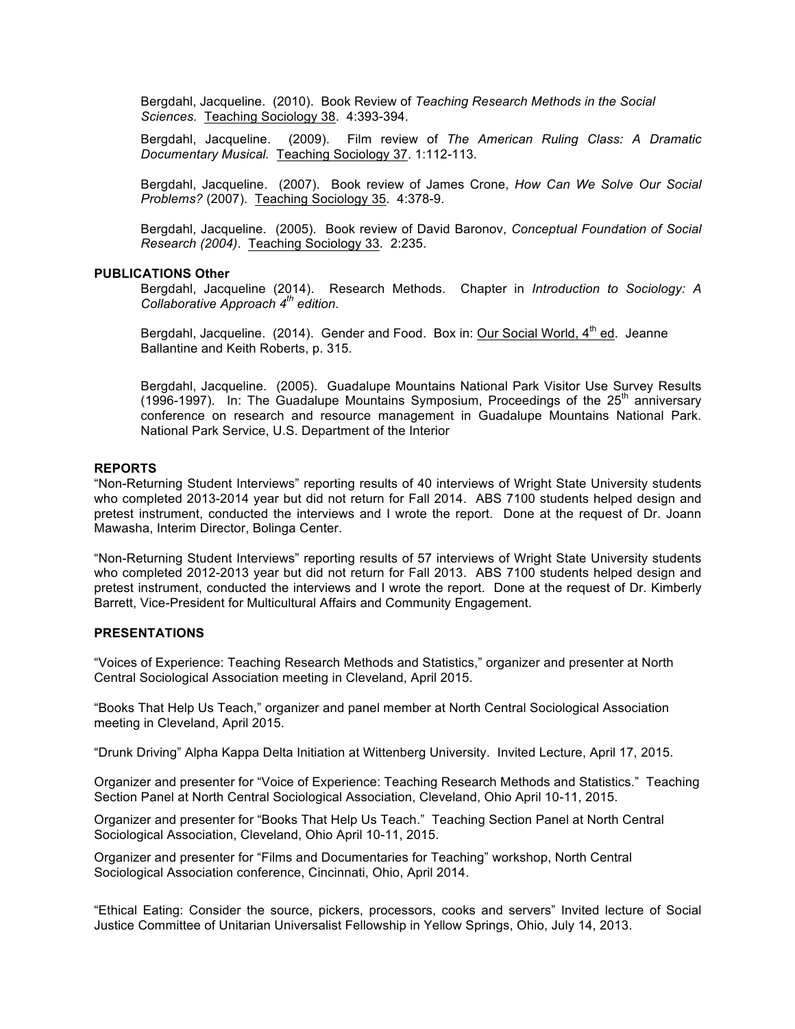Bergdahl, Jacqueline. (2010). Book Review of *Teaching Research Methods in the Social Sciences.* Teaching Sociology 38. 4:393-394.

Bergdahl, Jacqueline. (2009). Film review of *The American Ruling Class: A Dramatic Documentary Musical.* Teaching Sociology 37. 1:112-113.

Bergdahl, Jacqueline. (2007). Book review of James Crone, *How Can We Solve Our Social Problems?* (2007). Teaching Sociology 35. 4:378-9.

Bergdahl, Jacqueline. (2005). Book review of David Baronov, *Conceptual Foundation of Social Research (2004)*. Teaching Sociology 33. 2:235.

#### **PUBLICATIONS Other**

Bergdahl, Jacqueline (2014). Research Methods. Chapter in *Introduction to Sociology: A Collaborative Approach 4th edition.*

Bergdahl, Jacqueline. (2014). Gender and Food. Box in: Our Social World, 4<sup>th</sup> ed. Jeanne Ballantine and Keith Roberts, p. 315.

Bergdahl, Jacqueline. (2005). Guadalupe Mountains National Park Visitor Use Survey Results (1996-1997). In: The Guadalupe Mountains Symposium, Proceedings of the  $25<sup>th</sup>$  anniversary conference on research and resource management in Guadalupe Mountains National Park. National Park Service, U.S. Department of the Interior

#### **REPORTS**

"Non-Returning Student Interviews" reporting results of 40 interviews of Wright State University students who completed 2013-2014 year but did not return for Fall 2014. ABS 7100 students helped design and pretest instrument, conducted the interviews and I wrote the report. Done at the request of Dr. Joann Mawasha, Interim Director, Bolinga Center.

"Non-Returning Student Interviews" reporting results of 57 interviews of Wright State University students who completed 2012-2013 year but did not return for Fall 2013. ABS 7100 students helped design and pretest instrument, conducted the interviews and I wrote the report. Done at the request of Dr. Kimberly Barrett, Vice-President for Multicultural Affairs and Community Engagement.

#### **PRESENTATIONS**

"Voices of Experience: Teaching Research Methods and Statistics," organizer and presenter at North Central Sociological Association meeting in Cleveland, April 2015.

"Books That Help Us Teach," organizer and panel member at North Central Sociological Association meeting in Cleveland, April 2015.

"Drunk Driving" Alpha Kappa Delta Initiation at Wittenberg University. Invited Lecture, April 17, 2015.

Organizer and presenter for "Voice of Experience: Teaching Research Methods and Statistics." Teaching Section Panel at North Central Sociological Association, Cleveland, Ohio April 10-11, 2015.

Organizer and presenter for "Books That Help Us Teach." Teaching Section Panel at North Central Sociological Association, Cleveland, Ohio April 10-11, 2015.

Organizer and presenter for "Films and Documentaries for Teaching" workshop, North Central Sociological Association conference, Cincinnati, Ohio, April 2014.

"Ethical Eating: Consider the source, pickers, processors, cooks and servers" Invited lecture of Social Justice Committee of Unitarian Universalist Fellowship in Yellow Springs, Ohio, July 14, 2013.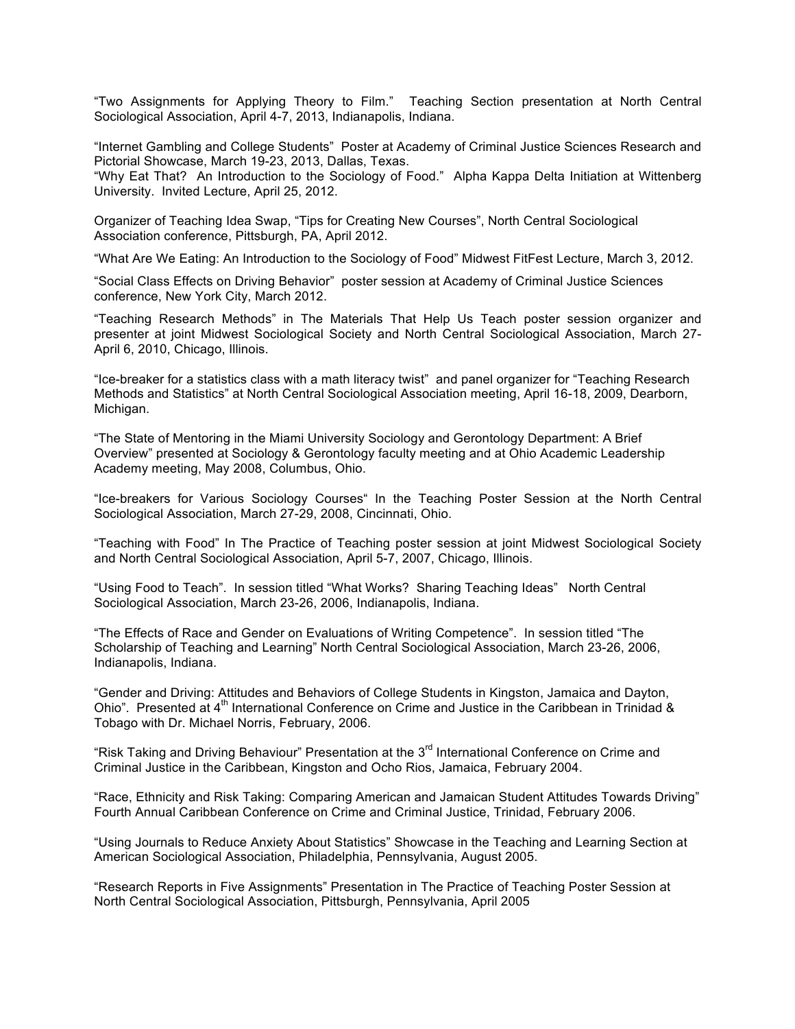"Two Assignments for Applying Theory to Film." Teaching Section presentation at North Central Sociological Association, April 4-7, 2013, Indianapolis, Indiana.

"Internet Gambling and College Students" Poster at Academy of Criminal Justice Sciences Research and Pictorial Showcase, March 19-23, 2013, Dallas, Texas.

"Why Eat That? An Introduction to the Sociology of Food." Alpha Kappa Delta Initiation at Wittenberg University. Invited Lecture, April 25, 2012.

Organizer of Teaching Idea Swap, "Tips for Creating New Courses", North Central Sociological Association conference, Pittsburgh, PA, April 2012.

"What Are We Eating: An Introduction to the Sociology of Food" Midwest FitFest Lecture, March 3, 2012.

"Social Class Effects on Driving Behavior" poster session at Academy of Criminal Justice Sciences conference, New York City, March 2012.

"Teaching Research Methods" in The Materials That Help Us Teach poster session organizer and presenter at joint Midwest Sociological Society and North Central Sociological Association, March 27- April 6, 2010, Chicago, Illinois.

"Ice-breaker for a statistics class with a math literacy twist" and panel organizer for "Teaching Research Methods and Statistics" at North Central Sociological Association meeting, April 16-18, 2009, Dearborn, Michigan.

"The State of Mentoring in the Miami University Sociology and Gerontology Department: A Brief Overview" presented at Sociology & Gerontology faculty meeting and at Ohio Academic Leadership Academy meeting, May 2008, Columbus, Ohio.

"Ice-breakers for Various Sociology Courses" In the Teaching Poster Session at the North Central Sociological Association, March 27-29, 2008, Cincinnati, Ohio.

"Teaching with Food" In The Practice of Teaching poster session at joint Midwest Sociological Society and North Central Sociological Association, April 5-7, 2007, Chicago, Illinois.

"Using Food to Teach". In session titled "What Works? Sharing Teaching Ideas" North Central Sociological Association, March 23-26, 2006, Indianapolis, Indiana.

"The Effects of Race and Gender on Evaluations of Writing Competence". In session titled "The Scholarship of Teaching and Learning" North Central Sociological Association, March 23-26, 2006, Indianapolis, Indiana.

"Gender and Driving: Attitudes and Behaviors of College Students in Kingston, Jamaica and Dayton, Ohio". Presented at 4<sup>th</sup> International Conference on Crime and Justice in the Caribbean in Trinidad & Tobago with Dr. Michael Norris, February, 2006.

"Risk Taking and Driving Behaviour" Presentation at the 3<sup>rd</sup> International Conference on Crime and Criminal Justice in the Caribbean, Kingston and Ocho Rios, Jamaica, February 2004.

"Race, Ethnicity and Risk Taking: Comparing American and Jamaican Student Attitudes Towards Driving" Fourth Annual Caribbean Conference on Crime and Criminal Justice, Trinidad, February 2006.

"Using Journals to Reduce Anxiety About Statistics" Showcase in the Teaching and Learning Section at American Sociological Association, Philadelphia, Pennsylvania, August 2005.

"Research Reports in Five Assignments" Presentation in The Practice of Teaching Poster Session at North Central Sociological Association, Pittsburgh, Pennsylvania, April 2005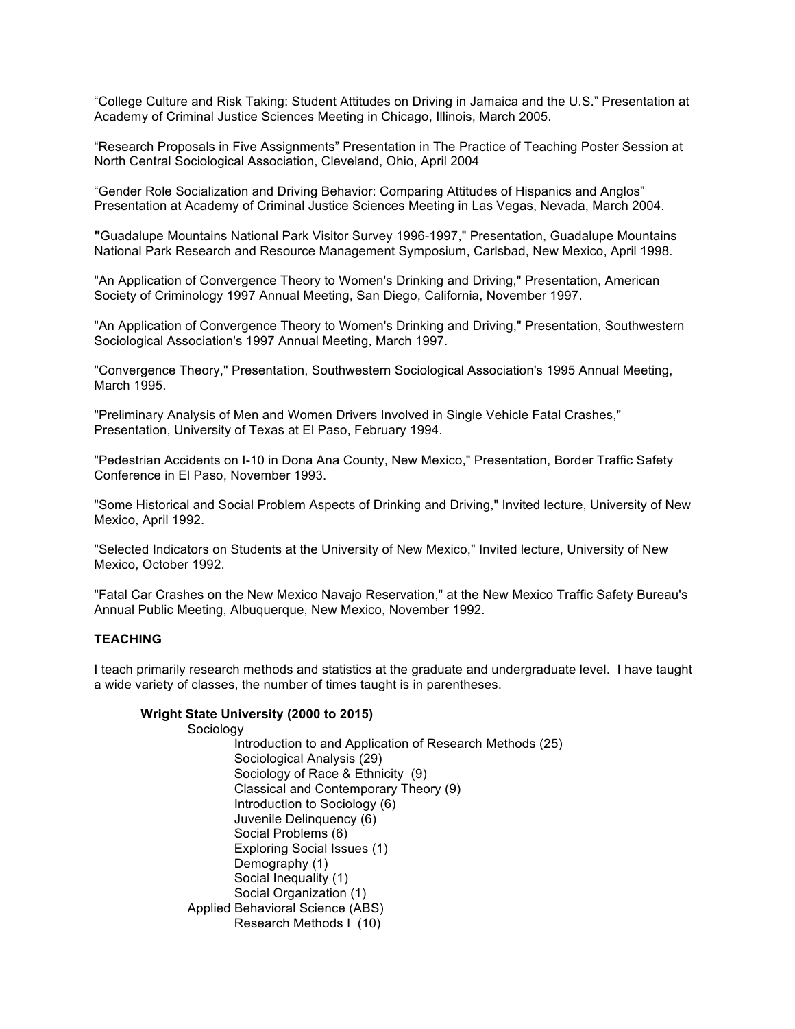"College Culture and Risk Taking: Student Attitudes on Driving in Jamaica and the U.S." Presentation at Academy of Criminal Justice Sciences Meeting in Chicago, Illinois, March 2005.

"Research Proposals in Five Assignments" Presentation in The Practice of Teaching Poster Session at North Central Sociological Association, Cleveland, Ohio, April 2004

"Gender Role Socialization and Driving Behavior: Comparing Attitudes of Hispanics and Anglos" Presentation at Academy of Criminal Justice Sciences Meeting in Las Vegas, Nevada, March 2004.

**"**Guadalupe Mountains National Park Visitor Survey 1996-1997," Presentation, Guadalupe Mountains National Park Research and Resource Management Symposium, Carlsbad, New Mexico, April 1998.

"An Application of Convergence Theory to Women's Drinking and Driving," Presentation, American Society of Criminology 1997 Annual Meeting, San Diego, California, November 1997.

"An Application of Convergence Theory to Women's Drinking and Driving," Presentation, Southwestern Sociological Association's 1997 Annual Meeting, March 1997.

"Convergence Theory," Presentation, Southwestern Sociological Association's 1995 Annual Meeting, March 1995.

"Preliminary Analysis of Men and Women Drivers Involved in Single Vehicle Fatal Crashes," Presentation, University of Texas at El Paso, February 1994.

"Pedestrian Accidents on I-10 in Dona Ana County, New Mexico," Presentation, Border Traffic Safety Conference in El Paso, November 1993.

"Some Historical and Social Problem Aspects of Drinking and Driving," Invited lecture, University of New Mexico, April 1992.

"Selected Indicators on Students at the University of New Mexico," Invited lecture, University of New Mexico, October 1992.

"Fatal Car Crashes on the New Mexico Navajo Reservation," at the New Mexico Traffic Safety Bureau's Annual Public Meeting, Albuquerque, New Mexico, November 1992.

#### **TEACHING**

I teach primarily research methods and statistics at the graduate and undergraduate level. I have taught a wide variety of classes, the number of times taught is in parentheses.

#### **Wright State University (2000 to 2015)**

Sociology

Introduction to and Application of Research Methods (25) Sociological Analysis (29) Sociology of Race & Ethnicity (9) Classical and Contemporary Theory (9) Introduction to Sociology (6) Juvenile Delinquency (6) Social Problems (6) Exploring Social Issues (1) Demography (1) Social Inequality (1) Social Organization (1) Applied Behavioral Science (ABS) Research Methods I (10)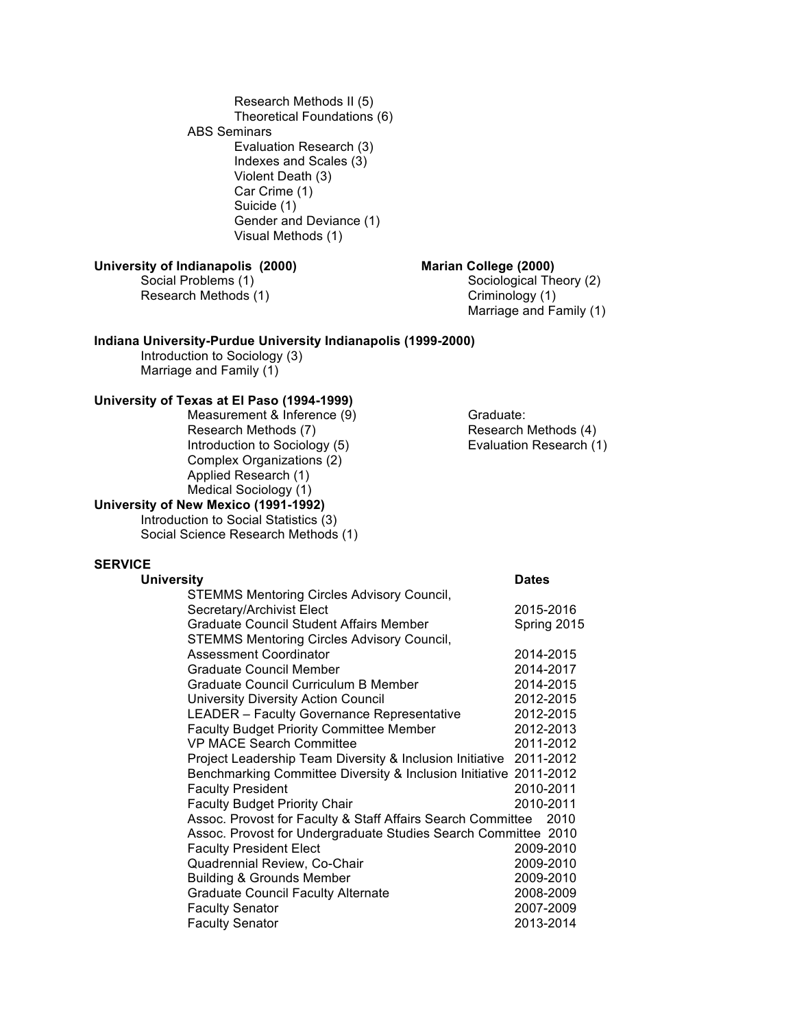Research Methods II (5) Theoretical Foundations (6) ABS Seminars Evaluation Research (3) Indexes and Scales (3) Violent Death (3) Car Crime (1) Suicide (1) Gender and Deviance (1) Visual Methods (1)

# **University of Indianapolis (2000) Marian College (2000)**

Research Methods (1) Criminology (1)

Social Problems (1) Sociological Theory (2) Marriage and Family (1)

#### **Indiana University-Purdue University Indianapolis (1999-2000)**

Introduction to Sociology (3) Marriage and Family (1)

# **University of Texas at El Paso (1994-1999)**

Measurement & Inference (9) Graduate:<br>
Research Methods (7) Gesearch Methods (4) Research Methods (7)<br>
Introduction to Sociology (5) The Research Methods (4)<br>
Evaluation Research (1) Introduction to Sociology (5) Complex Organizations (2) Applied Research (1) Medical Sociology (1)

# **University of New Mexico (1991-1992)**

Introduction to Social Statistics (3) Social Science Research Methods (1)

### **SERVICE**

| <b>University</b>                                                  | <b>Dates</b> |  |
|--------------------------------------------------------------------|--------------|--|
| <b>STEMMS Mentoring Circles Advisory Council,</b>                  |              |  |
| Secretary/Archivist Elect                                          | 2015-2016    |  |
| <b>Graduate Council Student Affairs Member</b>                     | Spring 2015  |  |
| <b>STEMMS Mentoring Circles Advisory Council,</b>                  |              |  |
| <b>Assessment Coordinator</b>                                      | 2014-2015    |  |
| <b>Graduate Council Member</b>                                     | 2014-2017    |  |
| Graduate Council Curriculum B Member                               | 2014-2015    |  |
| University Diversity Action Council                                | 2012-2015    |  |
| <b>LEADER</b> - Faculty Governance Representative                  | 2012-2015    |  |
| <b>Faculty Budget Priority Committee Member</b>                    | 2012-2013    |  |
| <b>VP MACE Search Committee</b>                                    | 2011-2012    |  |
| Project Leadership Team Diversity & Inclusion Initiative 2011-2012 |              |  |
| Benchmarking Committee Diversity & Inclusion Initiative 2011-2012  |              |  |
| <b>Faculty President</b>                                           | 2010-2011    |  |
| <b>Faculty Budget Priority Chair</b>                               | 2010-2011    |  |
| Assoc. Provost for Faculty & Staff Affairs Search Committee 2010   |              |  |
| Assoc. Provost for Undergraduate Studies Search Committee 2010     |              |  |
| <b>Faculty President Elect</b>                                     | 2009-2010    |  |
| Quadrennial Review, Co-Chair                                       | 2009-2010    |  |
| <b>Building &amp; Grounds Member</b>                               | 2009-2010    |  |
| <b>Graduate Council Faculty Alternate</b>                          | 2008-2009    |  |
| <b>Faculty Senator</b>                                             | 2007-2009    |  |
| <b>Faculty Senator</b>                                             | 2013-2014    |  |